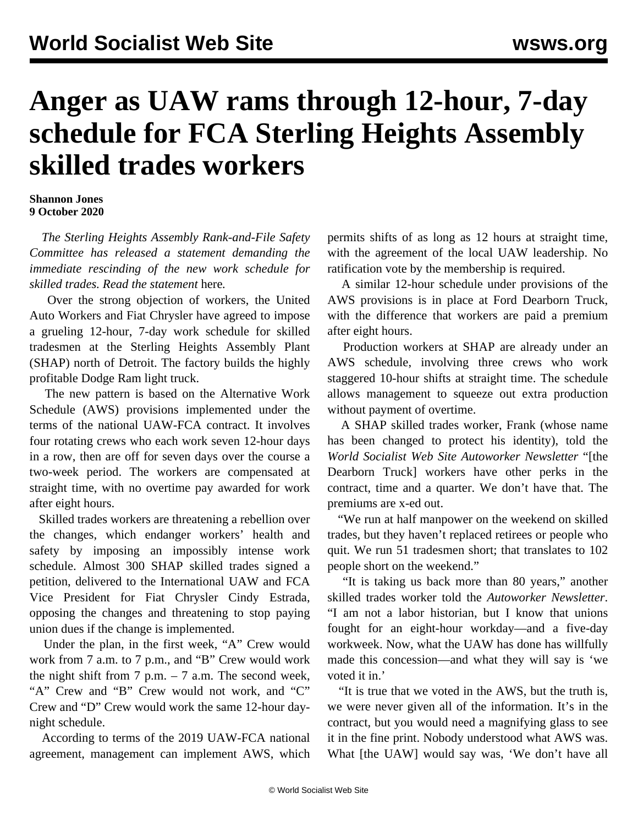## **Anger as UAW rams through 12-hour, 7-day schedule for FCA Sterling Heights Assembly skilled trades workers**

## **Shannon Jones 9 October 2020**

 *The Sterling Heights Assembly Rank-and-File Safety Committee has released a statement demanding the immediate rescinding of the new work schedule for skilled trades. Read the statement* [here](/en/articles/2020/10/12/shap-o12.html)*.*

 Over the strong objection of workers, the United Auto Workers and Fiat Chrysler have agreed to impose a grueling 12-hour, 7-day work schedule for skilled tradesmen at the Sterling Heights Assembly Plant (SHAP) north of Detroit. The factory builds the highly profitable Dodge Ram light truck.

 The new pattern is based on the Alternative Work Schedule (AWS) provisions implemented under the terms of the national UAW-FCA contract. It involves four rotating crews who each work seven 12-hour days in a row, then are off for seven days over the course a two-week period. The workers are compensated at straight time, with no overtime pay awarded for work after eight hours.

 Skilled trades workers are threatening a rebellion over the changes, which endanger workers' health and safety by imposing an impossibly intense work schedule. Almost 300 SHAP skilled trades signed a petition, delivered to the International UAW and FCA Vice President for Fiat Chrysler Cindy Estrada, opposing the changes and threatening to stop paying union dues if the change is implemented.

 Under the plan, in the first week, "A" Crew would work from 7 a.m. to 7 p.m., and "B" Crew would work the night shift from  $7$  p.m.  $-7$  a.m. The second week, "A" Crew and "B" Crew would not work, and "C" Crew and "D" Crew would work the same 12-hour daynight schedule.

 According to terms of the 2019 UAW-FCA national agreement, management can implement AWS, which permits shifts of as long as 12 hours at straight time, with the agreement of the local UAW leadership. No ratification vote by the membership is required.

 A similar 12-hour schedule under provisions of the AWS provisions is in place at Ford Dearborn Truck, with the difference that workers are paid a premium after eight hours.

 Production workers at SHAP are already under an AWS schedule, involving three crews who work staggered 10-hour shifts at straight time. The schedule allows management to squeeze out extra production without payment of overtime.

 A SHAP skilled trades worker, Frank (whose name has been changed to protect his identity), told the *World Socialist Web Site Autoworker Newsletter* "[the Dearborn Truck] workers have other perks in the contract, time and a quarter. We don't have that. The premiums are x-ed out.

 "We run at half manpower on the weekend on skilled trades, but they haven't replaced retirees or people who quit. We run 51 tradesmen short; that translates to 102 people short on the weekend."

 "It is taking us back more than 80 years," another skilled trades worker told the *Autoworker Newsletter*. "I am not a labor historian, but I know that unions fought for an eight-hour workday—and a five-day workweek. Now, what the UAW has done has willfully made this concession—and what they will say is 'we voted it in.'

 "It is true that we voted in the AWS, but the truth is, we were never given all of the information. It's in the contract, but you would need a magnifying glass to see it in the fine print. Nobody understood what AWS was. What [the UAW] would say was, 'We don't have all